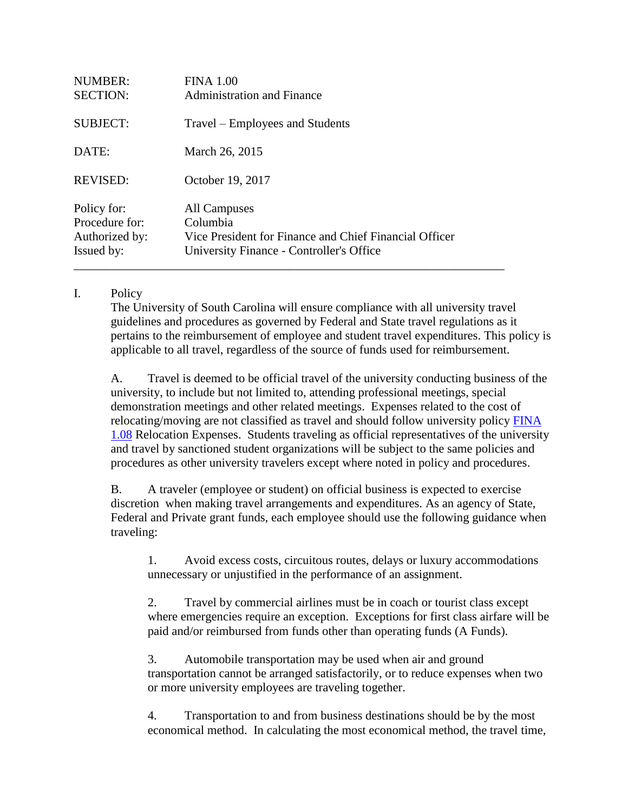| <b>NUMBER:</b><br><b>SECTION:</b>                             | <b>FINA 1.00</b><br><b>Administration and Finance</b>                                                                          |
|---------------------------------------------------------------|--------------------------------------------------------------------------------------------------------------------------------|
| <b>SUBJECT:</b>                                               | Travel – Employees and Students                                                                                                |
| DATE:                                                         | March 26, 2015                                                                                                                 |
| <b>REVISED:</b>                                               | October 19, 2017                                                                                                               |
| Policy for:<br>Procedure for:<br>Authorized by:<br>Issued by: | All Campuses<br>Columbia<br>Vice President for Finance and Chief Financial Officer<br>University Finance - Controller's Office |

## I. Policy

The University of South Carolina will ensure compliance with all university travel guidelines and procedures as governed by Federal and State travel regulations as it pertains to the reimbursement of employee and student travel expenditures. This policy is applicable to all travel, regardless of the source of funds used for reimbursement.

A. Travel is deemed to be official travel of the university conducting business of the university, to include but not limited to, attending professional meetings, special demonstration meetings and other related meetings. Expenses related to the cost of relocating/moving are not classified as travel and should follow university policy [FINA](http://www.sc.edu/policies/busf108.html) [1.08](http://www.sc.edu/policies/busf108.html) Relocation Expenses. Students traveling as official representatives of the university and travel by sanctioned student organizations will be subject to the same policies and procedures as other university travelers except where noted in policy and procedures.

B. A traveler (employee or student) on official business is expected to exercise discretion when making travel arrangements and expenditures. As an agency of State, Federal and Private grant funds, each employee should use the following guidance when traveling:

1. Avoid excess costs, circuitous routes, delays or luxury accommodations unnecessary or unjustified in the performance of an assignment.

2. Travel by commercial airlines must be in coach or tourist class except where emergencies require an exception. Exceptions for first class airfare will be paid and/or reimbursed from funds other than operating funds (A Funds).

3. Automobile transportation may be used when air and ground transportation cannot be arranged satisfactorily, or to reduce expenses when two or more university employees are traveling together.

4. Transportation to and from business destinations should be by the most economical method. In calculating the most economical method, the travel time,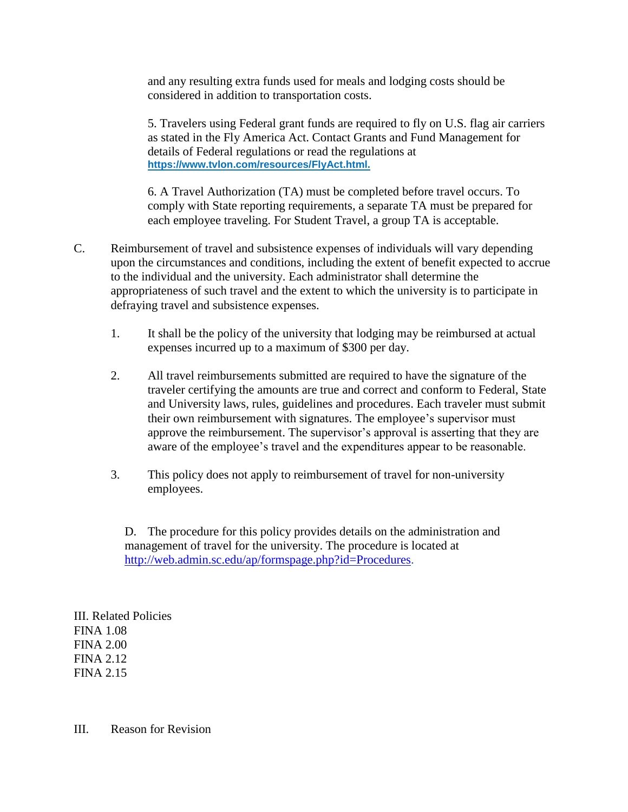and any resulting extra funds used for meals and lodging costs should be considered in addition to transportation costs.

5. Travelers using Federal grant funds are required to fly on U.S. flag air carriers as stated in the Fly America Act. Contact Grants and Fund Management for details of Federal regulations or read the regulations at **[https://www.tvlon.com/resources/FlyAct.html.](https://www.tvlon.com/resources/FlyAct.html)**

6. A Travel Authorization (TA) must be completed before travel occurs. To comply with State reporting requirements, a separate TA must be prepared for each employee traveling. For Student Travel, a group TA is acceptable.

- C. Reimbursement of travel and subsistence expenses of individuals will vary depending upon the circumstances and conditions, including the extent of benefit expected to accrue to the individual and the university. Each administrator shall determine the appropriateness of such travel and the extent to which the university is to participate in defraying travel and subsistence expenses.
	- 1. It shall be the policy of the university that lodging may be reimbursed at actual expenses incurred up to a maximum of \$300 per day.
	- 2. All travel reimbursements submitted are required to have the signature of the traveler certifying the amounts are true and correct and conform to Federal, State and University laws, rules, guidelines and procedures. Each traveler must submit their own reimbursement with signatures. The employee's supervisor must approve the reimbursement. The supervisor's approval is asserting that they are aware of the employee's travel and the expenditures appear to be reasonable.
	- 3. This policy does not apply to reimbursement of travel for non-university employees.

D. The procedure for this policy provides details on the administration and management of travel for the university. The procedure is located at [http://web.admin.sc.edu/ap/formspage.php?id=Procedures.](http://web.admin.sc.edu/ap/formspage.php?id=Procedures)

III. Related Policies FINA 1.08 FINA 2.00 FINA 2.12 FINA 2.15

III. Reason for Revision